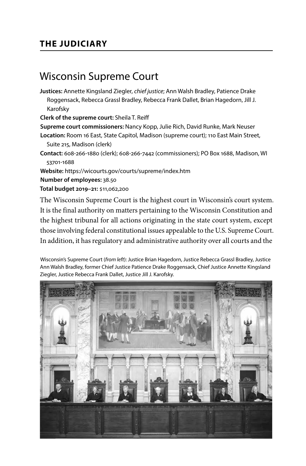# **THE JUDICIARY**

# Wisconsin Supreme Court

**Justices:** Annette Kingsland Ziegler, *chief justice*; Ann Walsh Bradley, Patience Drake Roggensack, Rebecca Grassl Bradley, Rebecca Frank Dallet, Brian Hagedorn, Jill J. Karofsky

**Clerk of the supreme court:** Sheila T. Reiff

**Supreme court commissioners:** Nancy Kopp, Julie Rich, David Runke, Mark Neuser

**Location:** Room 16 East, State Capitol, Madison (supreme court); 110 East Main Street, Suite 215, Madison (clerk)

**Contact:** 608-266-1880 (clerk); 608-266-7442 (commissioners); PO Box 1688, Madison, WI 53701-1688

**Website:** https://wicourts.gov/courts/supreme/index.htm

**Number of employees:** 38.50

**Total budget 2019–21:** \$11,062,200

The Wisconsin Supreme Court is the highest court in Wisconsin's court system. It is the final authority on matters pertaining to the Wisconsin Constitution and the highest tribunal for all actions originating in the state court system, except those involving federal constitutional issues appealable to the U.S. Supreme Court. In addition, it has regulatory and administrative authority over all courts and the

Wisconsin's Supreme Court (*from left*): Justice Brian Hagedorn, Justice Rebecca Grassl Bradley, Justice Ann Walsh Bradley, former Chief Justice Patience Drake Roggensack, Chief Justice Annette Kingsland Ziegler, Justice Rebecca Frank Dallet, Justice Jill J. Karofsky.

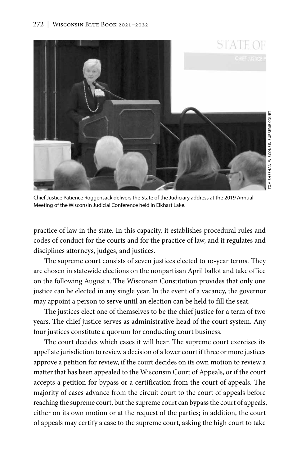

Chief Justice Patience Roggensack delivers the State of the Judiciary address at the 2019 Annual Meeting of the Wisconsin Judicial Conference held in Elkhart Lake.

practice of law in the state. In this capacity, it establishes procedural rules and codes of conduct for the courts and for the practice of law, and it regulates and disciplines attorneys, judges, and justices.

The supreme court consists of seven justices elected to 10-year terms. They are chosen in statewide elections on the nonpartisan April ballot and take office on the following August 1. The Wisconsin Constitution provides that only one justice can be elected in any single year. In the event of a vacancy, the governor may appoint a person to serve until an election can be held to fill the seat.

The justices elect one of themselves to be the chief justice for a term of two years. The chief justice serves as administrative head of the court system. Any four justices constitute a quorum for conducting court business.

The court decides which cases it will hear. The supreme court exercises its appellate jurisdiction to review a decision of a lower court if three or more justices approve a petition for review, if the court decides on its own motion to review a matter that has been appealed to the Wisconsin Court of Appeals, or if the court accepts a petition for bypass or a certification from the court of appeals. The majority of cases advance from the circuit court to the court of appeals before reaching the supreme court, but the supreme court can bypass the court of appeals, either on its own motion or at the request of the parties; in addition, the court of appeals may certify a case to the supreme court, asking the high court to take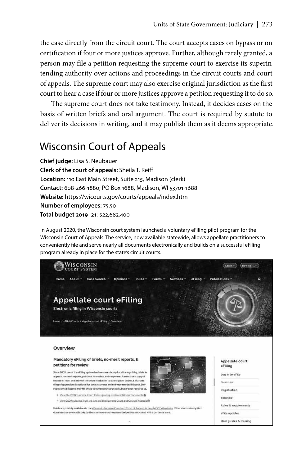the case directly from the circuit court. The court accepts cases on bypass or on certification if four or more justices approve. Further, although rarely granted, a person may file a petition requesting the supreme court to exercise its superintending authority over actions and proceedings in the circuit courts and court of appeals. The supreme court may also exercise original jurisdiction as the first court to hear a case if four or more justices approve a petition requesting it to do so.

The supreme court does not take testimony. Instead, it decides cases on the basis of written briefs and oral argument. The court is required by statute to deliver its decisions in writing, and it may publish them as it deems appropriate.

# Wisconsin Court of Appeals

**Chief judge:** Lisa S. Neubauer **Clerk of the court of appeals:** Sheila T. Reiff **Location:** 110 East Main Street, Suite 215, Madison (clerk) **Contact:** 608-266-1880; PO Box 1688, Madison, WI 53701-1688 **Website:** https://wicourts.gov/courts/appeals/index.htm **Number of employees:** 75.50 **Total budget 2019–21**: \$22,682,400

In August 2020, the Wisconsin court system launched a voluntary eFiling pilot program for the Wisconsin Court of Appeals. The service, now available statewide, allows appellate practitioners to conveniently file and serve nearly all documents electronically and builds on a successful eFiling program already in place for the state's circuit courts.

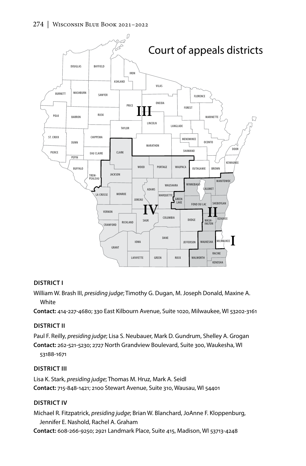

## **DISTRICT I**

William W. Brash III, *presiding judge*; Timothy G. Dugan, M. Joseph Donald, Maxine A. White

**Contact:** 414-227-4680; 330 East Kilbourn Avenue, Suite 1020, Milwaukee, WI 53202-3161

## **DISTRICT II**

Paul F. Reilly, *presiding judge*; Lisa S. Neubauer, Mark D. Gundrum, Shelley A. Grogan **Contact:** 262-521-5230; 2727 North Grandview Boulevard, Suite 300, Waukesha, WI 53188-1671

### **DISTRICT III**

Lisa K. Stark, *presiding judge*; Thomas M. Hruz, Mark A. Seidl **Contact:** 715-848-1421; 2100 Stewart Avenue, Suite 310, Wausau, WI 54401

## **DISTRICT IV**

Michael R. Fitzpatrick, *presiding judge*; Brian W. Blanchard, JoAnne F. Kloppenburg, Jennifer E. Nashold, Rachel A. Graham

**Contact:** 608-266-9250; 2921 Landmark Place, Suite 415, Madison, WI 53713-4248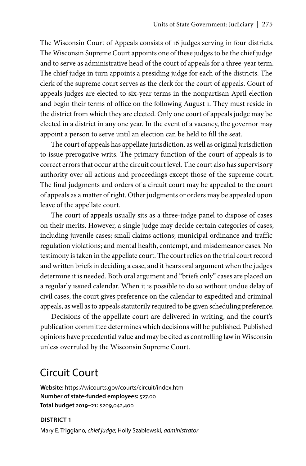The Wisconsin Court of Appeals consists of 16 judges serving in four districts. The Wisconsin Supreme Court appoints one of these judges to be the chief judge and to serve as administrative head of the court of appeals for a three-year term. The chief judge in turn appoints a presiding judge for each of the districts. The clerk of the supreme court serves as the clerk for the court of appeals. Court of appeals judges are elected to six-year terms in the nonpartisan April election and begin their terms of office on the following August 1. They must reside in the district from which they are elected. Only one court of appeals judge may be elected in a district in any one year. In the event of a vacancy, the governor may appoint a person to serve until an election can be held to fill the seat.

The court of appeals has appellate jurisdiction, as well as original jurisdiction to issue prerogative writs. The primary function of the court of appeals is to correct errors that occur at the circuit court level. The court also has supervisory authority over all actions and proceedings except those of the supreme court. The final judgments and orders of a circuit court may be appealed to the court of appeals as a matter of right. Other judgments or orders may be appealed upon leave of the appellate court.

The court of appeals usually sits as a three-judge panel to dispose of cases on their merits. However, a single judge may decide certain categories of cases, including juvenile cases; small claims actions; municipal ordinance and traffic regulation violations; and mental health, contempt, and misdemeanor cases. No testimony is taken in the appellate court. The court relies on the trial court record and written briefs in deciding a case, and it hears oral argument when the judges determine it is needed. Both oral argument and "briefs only" cases are placed on a regularly issued calendar. When it is possible to do so without undue delay of civil cases, the court gives preference on the calendar to expedited and criminal appeals, as well as to appeals statutorily required to be given scheduling preference.

Decisions of the appellate court are delivered in writing, and the court's publication committee determines which decisions will be published. Published opinions have precedential value and may be cited as controlling law in Wisconsin unless overruled by the Wisconsin Supreme Court.

# Circuit Court

**Website:** https://wicourts.gov/courts/circuit/index.htm **Number of state-funded employees:** 527.00 **Total budget 2019–21:** \$209,042,400

**DISTRICT 1** Mary E. Triggiano, *chief judge*; Holly Szablewski, *administrator*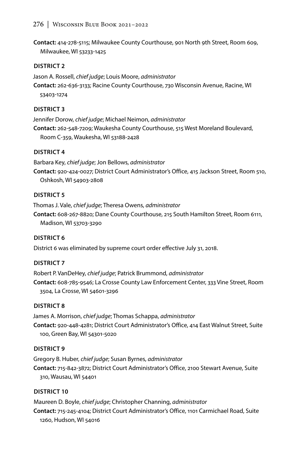**Contact:** 414-278-5115; Milwaukee County Courthouse, 901 North 9th Street, Room 609, Milwaukee, WI 53233-1425

### **DISTRICT 2**

Jason A. Rossell, *chief judge*; Louis Moore, *administrator*

**Contact:** 262-636-3133; Racine County Courthouse, 730 Wisconsin Avenue, Racine, WI 53403-1274

### **DISTRICT 3**

Jennifer Dorow, *chief judge*; Michael Neimon, *administrator* **Contact:** 262-548-7209; Waukesha County Courthouse, 515 West Moreland Boulevard, Room C-359, Waukesha, WI 53188-2428

## **DISTRICT 4**

Barbara Key, *chief judge*; Jon Bellows, *administrator* **Contact:** 920-424-0027; District Court Administrator's Office, 415 Jackson Street, Room 510, Oshkosh, WI 54903-2808

## **DISTRICT 5**

Thomas J. Vale, *chief judge*; Theresa Owens, *administrator*

**Contact:** 608-267-8820; Dane County Courthouse, 215 South Hamilton Street, Room 6111, Madison, WI 53703-3290

### **DISTRICT 6**

District 6 was eliminated by supreme court order effective July 31, 2018.

### **DISTRICT 7**

Robert P. VanDeHey, *chief judge*; Patrick Brummond, *administrator* **Contact:** 608-785-9546; La Crosse County Law Enforcement Center, 333 Vine Street, Room 3504, La Crosse, WI 54601-3296

### **DISTRICT 8**

James A. Morrison, *chief judge*; Thomas Schappa, *administrator* **Contact:** 920-448-4281; District Court Administrator's Office, 414 East Walnut Street, Suite 100, Green Bay, WI 54301-5020

### **DISTRICT 9**

Gregory B. Huber, *chief judge*; Susan Byrnes, *administrator* **Contact:** 715-842-3872; District Court Administrator's Office, 2100 Stewart Avenue, Suite 310, Wausau, WI 54401

## **DISTRICT 10**

Maureen D. Boyle, *chief judge*; Christopher Channing, *administrator* **Contact:** 715-245-4104; District Court Administrator's Office, 1101 Carmichael Road, Suite 1260, Hudson, WI 54016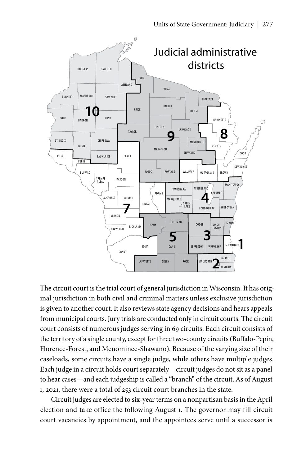

The circuit court is the trial court of general jurisdiction in Wisconsin. It has original jurisdiction in both civil and criminal matters unless exclusive jurisdiction is given to another court. It also reviews state agency decisions and hears appeals from municipal courts. Jury trials are conducted only in circuit courts. The circuit court consists of numerous judges serving in 69 circuits. Each circuit consists of the territory of a single county, except for three two-county circuits (Buffalo-Pepin, Florence-Forest, and Menominee-Shawano). Because of the varying size of their caseloads, some circuits have a single judge, while others have multiple judges. Each judge in a circuit holds court separately—circuit judges do not sit as a panel to hear cases—and each judgeship is called a "branch" of the circuit. As of August 1, 2021, there were a total of 253 circuit court branches in the state.

Circuit judges are elected to six-year terms on a nonpartisan basis in the April election and take office the following August 1. The governor may fill circuit court vacancies by appointment, and the appointees serve until a successor is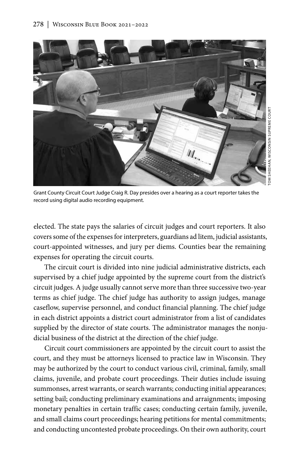

Grant County Circuit Court Judge Craig R. Day presides over a hearing as a court reporter takes the record using digital audio recording equipment.

elected. The state pays the salaries of circuit judges and court reporters. It also covers some of the expenses for interpreters, guardians ad litem, judicial assistants, court-appointed witnesses, and jury per diems. Counties bear the remaining expenses for operating the circuit courts.

The circuit court is divided into nine judicial administrative districts, each supervised by a chief judge appointed by the supreme court from the district's circuit judges. A judge usually cannot serve more than three successive two-year terms as chief judge. The chief judge has authority to assign judges, manage caseflow, supervise personnel, and conduct financial planning. The chief judge in each district appoints a district court administrator from a list of candidates supplied by the director of state courts. The administrator manages the nonjudicial business of the district at the direction of the chief judge.

Circuit court commissioners are appointed by the circuit court to assist the court, and they must be attorneys licensed to practice law in Wisconsin. They may be authorized by the court to conduct various civil, criminal, family, small claims, juvenile, and probate court proceedings. Their duties include issuing summonses, arrest warrants, or search warrants; conducting initial appearances; setting bail; conducting preliminary examinations and arraignments; imposing monetary penalties in certain traffic cases; conducting certain family, juvenile, and small claims court proceedings; hearing petitions for mental commitments; and conducting uncontested probate proceedings. On their own authority, court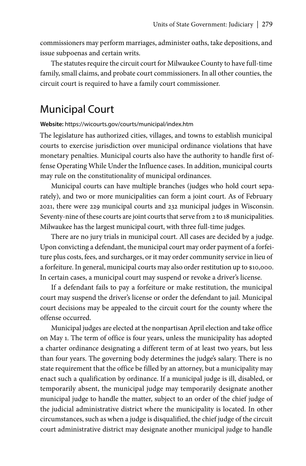commissioners may perform marriages, administer oaths, take depositions, and issue subpoenas and certain writs.

The statutes require the circuit court for Milwaukee County to have full-time family, small claims, and probate court commissioners. In all other counties, the circuit court is required to have a family court commissioner.

# Municipal Court

#### **Website:** https://wicourts.gov/courts/municipal/index.htm

The legislature has authorized cities, villages, and towns to establish municipal courts to exercise jurisdiction over municipal ordinance violations that have monetary penalties. Municipal courts also have the authority to handle first offense Operating While Under the Influence cases. In addition, municipal courts may rule on the constitutionality of municipal ordinances.

Municipal courts can have multiple branches (judges who hold court separately), and two or more municipalities can form a joint court. As of February 2021, there were 229 municipal courts and 232 municipal judges in Wisconsin. Seventy-nine of these courts are joint courts that serve from 2 to 18 municipalities. Milwaukee has the largest municipal court, with three full-time judges.

There are no jury trials in municipal court. All cases are decided by a judge. Upon convicting a defendant, the municipal court may order payment of a forfeiture plus costs, fees, and surcharges, or it may order community service in lieu of a forfeiture. In general, municipal courts may also order restitution up to \$10,000. In certain cases, a municipal court may suspend or revoke a driver's license.

If a defendant fails to pay a forfeiture or make restitution, the municipal court may suspend the driver's license or order the defendant to jail. Municipal court decisions may be appealed to the circuit court for the county where the offense occurred.

Municipal judges are elected at the nonpartisan April election and take office on May 1. The term of office is four years, unless the municipality has adopted a charter ordinance designating a different term of at least two years, but less than four years. The governing body determines the judge's salary. There is no state requirement that the office be filled by an attorney, but a municipality may enact such a qualification by ordinance. If a municipal judge is ill, disabled, or temporarily absent, the municipal judge may temporarily designate another municipal judge to handle the matter, subject to an order of the chief judge of the judicial administrative district where the municipality is located. In other circumstances, such as when a judge is disqualified, the chief judge of the circuit court administrative district may designate another municipal judge to handle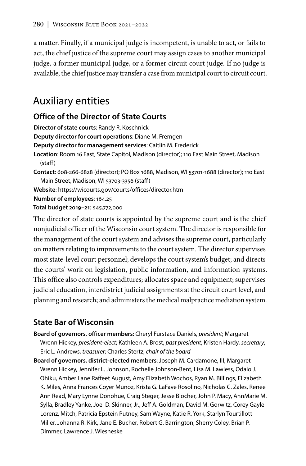a matter. Finally, if a municipal judge is incompetent, is unable to act, or fails to act, the chief justice of the supreme court may assign cases to another municipal judge, a former municipal judge, or a former circuit court judge. If no judge is available, the chief justice may transfer a case from municipal court to circuit court.

# Auxiliary entities

## **Office of the Director of State Courts**

**Director of state courts**: Randy R. Koschnick **Deputy director for court operations**: Diane M. Fremgen **Deputy director for management services**: Caitlin M. Frederick **Location**: Room 16 East, State Capitol, Madison (director); 110 East Main Street, Madison (staff) **Contact**: 608-266-6828 (director); PO Box 1688, Madison, WI 53701-1688 (director); 110 East Main Street, Madison, WI 53703-3356 (staff) **Website**: https://wicourts.gov/courts/offices/director.htm **Number of employees**: 164.25 **Total budget 2019–21**: \$45,772,000

The director of state courts is appointed by the supreme court and is the chief nonjudicial officer of the Wisconsin court system. The director is responsible for the management of the court system and advises the supreme court, particularly on matters relating to improvements to the court system. The director supervises most state-level court personnel; develops the court system's budget; and directs the courts' work on legislation, public information, and information systems. This office also controls expenditures; allocates space and equipment; supervises judicial education, interdistrict judicial assignments at the circuit court level, and planning and research; and administers the medical malpractice mediation system.

# **State Bar of Wisconsin**

- **Board of governors, officer members**: Cheryl Furstace Daniels, *president*; Margaret Wrenn Hickey, *president-elect*; Kathleen A. Brost, *past president*; Kristen Hardy, *secretary*; Eric L. Andrews, *treasurer*; Charles Stertz, *chair of the board*
- **Board of governors, district-elected members**: Joseph M. Cardamone, III, Margaret Wrenn Hickey, Jennifer L. Johnson, Rochelle Johnson-Bent, Lisa M. Lawless, Odalo J. Ohiku, Amber Lane Raffeet August, Amy Elizabeth Wochos, Ryan M. Billings, Elizabeth K. Miles, Anna Frances Coyer Munoz, Krista G. LaFave Rosolino, Nicholas C. Zales, Renee Ann Read, Mary Lynne Donohue, Craig Steger, Jesse Blocher, John P. Macy, AnnMarie M. Sylla, Bradley Yanke, Joel D. Skinner, Jr., Jeff A. Goldman, David M. Gorwitz, Corey Gayle Lorenz, Mitch, Patricia Epstein Putney, Sam Wayne, Katie R. York, Starlyn Tourtillott Miller, Johanna R. Kirk, Jane E. Bucher, Robert G. Barrington, Sherry Coley, Brian P. Dimmer, Lawrence J. Wiesneske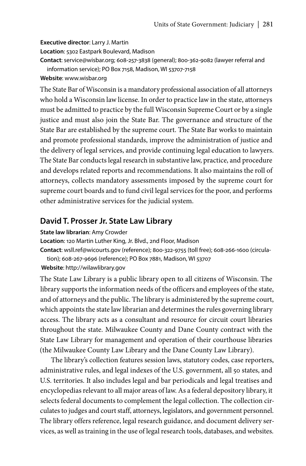## **Executive director**: Larry J. Martin

**Location**: 5302 Eastpark Boulevard, Madison

**Contact**: service@wisbar.org; 608-257-3838 (general); 800-362-9082 (lawyer referral and information service); PO Box 7158, Madison, WI 53707-7158

#### **Website**: www.wisbar.org

The State Bar of Wisconsin is a mandatory professional association of all attorneys who hold a Wisconsin law license. In order to practice law in the state, attorneys must be admitted to practice by the full Wisconsin Supreme Court or by a single justice and must also join the State Bar. The governance and structure of the State Bar are established by the supreme court. The State Bar works to maintain and promote professional standards, improve the administration of justice and the delivery of legal services, and provide continuing legal education to lawyers. The State Bar conducts legal research in substantive law, practice, and procedure and develops related reports and recommendations. It also maintains the roll of attorneys, collects mandatory assessments imposed by the supreme court for supreme court boards and to fund civil legal services for the poor, and performs other administrative services for the judicial system.

## **David T. Prosser Jr. State Law Library**

**State law librarian**: Amy Crowder

**Location**: 120 Martin Luther King, Jr. Blvd., 2nd Floor, Madison

**Contact**: wsll.ref@wicourts.gov (reference); 800-322-9755 (toll free); 608-266-1600 (circula-

tion); 608-267-9696 (reference); PO Box 7881, Madison, WI 53707

#### **Website**: http://wilawlibrary.gov

The State Law Library is a public library open to all citizens of Wisconsin. The library supports the information needs of the officers and employees of the state, and of attorneys and the public. The library is administered by the supreme court, which appoints the state law librarian and determines the rules governing library access. The library acts as a consultant and resource for circuit court libraries throughout the state. Milwaukee County and Dane County contract with the State Law Library for management and operation of their courthouse libraries (the Milwaukee County Law Library and the Dane County Law Library).

The library's collection features session laws, statutory codes, case reporters, administrative rules, and legal indexes of the U.S. government, all 50 states, and U.S. territories. It also includes legal and bar periodicals and legal treatises and encyclopedias relevant to all major areas of law. As a federal depository library, it selects federal documents to complement the legal collection. The collection circulates to judges and court staff, attorneys, legislators, and government personnel. The library offers reference, legal research guidance, and document delivery services, as well as training in the use of legal research tools, databases, and websites.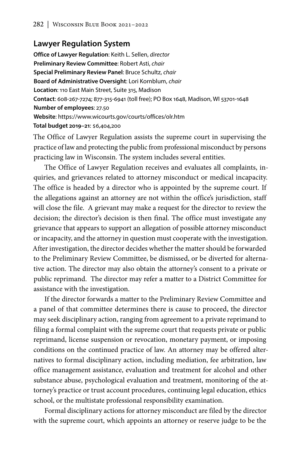## **Lawyer Regulation System**

**Office of Lawyer Regulation**: Keith L. Sellen, *director* **Preliminary Review Committee**: Robert Asti, *chair* **Special Preliminary Review Panel**: Bruce Schultz, *chair* **Board of Administrative Oversight**: Lori Kornblum, *chair* **Location**: 110 East Main Street, Suite 315, Madison **Contact**: 608-267-7274; 877-315-6941 (toll free); PO Box 1648, Madison, WI 53701-1648 **Number of employees**: 27.50 **Website**: https://www.wicourts.gov/courts/offices/olr.htm **Total budget 2019–21**: \$6,404,200

The Office of Lawyer Regulation assists the supreme court in supervising the practice of law and protecting the public from professional misconduct by persons practicing law in Wisconsin. The system includes several entities.

The Office of Lawyer Regulation receives and evaluates all complaints, inquiries, and grievances related to attorney misconduct or medical incapacity. The office is headed by a director who is appointed by the supreme court. If the allegations against an attorney are not within the office's jurisdiction, staff will close the file. A grievant may make a request for the director to review the decision; the director's decision is then final. The office must investigate any grievance that appears to support an allegation of possible attorney misconduct or incapacity, and the attorney in question must cooperate with the investigation. After investigation, the director decides whether the matter should be forwarded to the Preliminary Review Committee, be dismissed, or be diverted for alternative action. The director may also obtain the attorney's consent to a private or public reprimand. The director may refer a matter to a District Committee for assistance with the investigation.

If the director forwards a matter to the Preliminary Review Committee and a panel of that committee determines there is cause to proceed, the director may seek disciplinary action, ranging from agreement to a private reprimand to filing a formal complaint with the supreme court that requests private or public reprimand, license suspension or revocation, monetary payment, or imposing conditions on the continued practice of law. An attorney may be offered alternatives to formal disciplinary action, including mediation, fee arbitration, law office management assistance, evaluation and treatment for alcohol and other substance abuse, psychological evaluation and treatment, monitoring of the attorney's practice or trust account procedures, continuing legal education, ethics school, or the multistate professional responsibility examination.

Formal disciplinary actions for attorney misconduct are filed by the director with the supreme court, which appoints an attorney or reserve judge to be the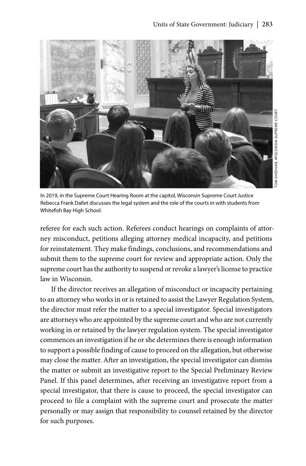

In 2019, in the Supreme Court Hearing Room at the capitol, Wisconsin Supreme Court Justice Rebecca Frank Dallet discusses the legal system and the role of the courts in with students from Whitefish Bay High School.

referee for each such action. Referees conduct hearings on complaints of attorney misconduct, petitions alleging attorney medical incapacity, and petitions for reinstatement. They make findings, conclusions, and recommendations and submit them to the supreme court for review and appropriate action. Only the supreme court has the authority to suspend or revoke a lawyer's license to practice law in Wisconsin.

If the director receives an allegation of misconduct or incapacity pertaining to an attorney who works in or is retained to assist the Lawyer Regulation System, the director must refer the matter to a special investigator. Special investigators are attorneys who are appointed by the supreme court and who are not currently working in or retained by the lawyer regulation system. The special investigator commences an investigation if he or she determines there is enough information to support a possible finding of cause to proceed on the allegation, but otherwise may close the matter. After an investigation, the special investigator can dismiss the matter or submit an investigative report to the Special Preliminary Review Panel. If this panel determines, after receiving an investigative report from a special investigator, that there is cause to proceed, the special investigator can proceed to file a complaint with the supreme court and prosecute the matter personally or may assign that responsibility to counsel retained by the director for such purposes.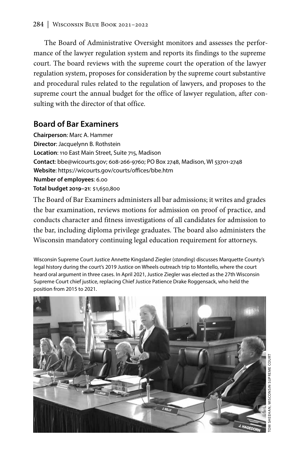The Board of Administrative Oversight monitors and assesses the performance of the lawyer regulation system and reports its findings to the supreme court. The board reviews with the supreme court the operation of the lawyer regulation system, proposes for consideration by the supreme court substantive and procedural rules related to the regulation of lawyers, and proposes to the supreme court the annual budget for the office of lawyer regulation, after consulting with the director of that office.

## **Board of Bar Examiners**

**Chairperson**: Marc A. Hammer **Director**: Jacquelynn B. Rothstein **Location**: 110 East Main Street, Suite 715, Madison **Contact**: bbe@wicourts.gov; 608-266-9760; PO Box 2748, Madison, WI 53701-2748 **Website**: https://wicourts.gov/courts/offices/bbe.htm **Number of employees**: 6.00 **Total budget 2019–21**: \$1,650,800

The Board of Bar Examiners administers all bar admissions; it writes and grades the bar examination, reviews motions for admission on proof of practice, and conducts character and fitness investigations of all candidates for admission to the bar, including diploma privilege graduates. The board also administers the Wisconsin mandatory continuing legal education requirement for attorneys.

Wisconsin Supreme Court Justice Annette Kingsland Ziegler (*standing*) discusses Marquette County's legal history during the court's 2019 Justice on Wheels outreach trip to Montello, where the court heard oral argument in three cases. In April 2021, Justice Ziegler was elected as the 27th Wisconsin Supreme Court chief justice, replacing Chief Justice Patience Drake Roggensack, who held the position from 2015 to 2021.

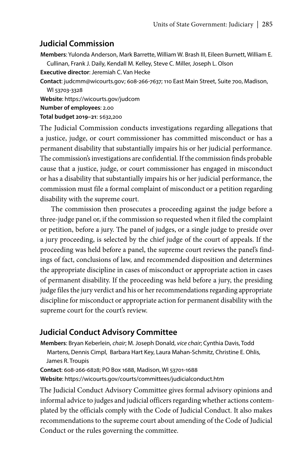## **Judicial Commission**

**Members**: Yulonda Anderson, Mark Barrette, William W. Brash III, Eileen Burnett, William E. Cullinan, Frank J. Daily, Kendall M. Kelley, Steve C. Miller, Joseph L. Olson

**Executive director**: Jeremiah C. Van Hecke

**Contact**: judcmm@wicourts.gov; 608-266-7637; 110 East Main Street, Suite 700, Madison, WI 53703-3328

**Website**: https://wicourts.gov/judcom **Number of employees**: 2.00 **Total budget 2019–21**: \$632,200

The Judicial Commission conducts investigations regarding allegations that a justice, judge, or court commissioner has committed misconduct or has a permanent disability that substantially impairs his or her judicial performance. The commission's investigations are confidential. If the commission finds probable cause that a justice, judge, or court commissioner has engaged in misconduct or has a disability that substantially impairs his or her judicial performance, the commission must file a formal complaint of misconduct or a petition regarding disability with the supreme court.

The commission then prosecutes a proceeding against the judge before a three-judge panel or, if the commission so requested when it filed the complaint or petition, before a jury. The panel of judges, or a single judge to preside over a jury proceeding, is selected by the chief judge of the court of appeals. If the proceeding was held before a panel, the supreme court reviews the panel's findings of fact, conclusions of law, and recommended disposition and determines the appropriate discipline in cases of misconduct or appropriate action in cases of permanent disability. If the proceeding was held before a jury, the presiding judge files the jury verdict and his or her recommendations regarding appropriate discipline for misconduct or appropriate action for permanent disability with the supreme court for the court's review.

## **Judicial Conduct Advisory Committee**

**Members**: Bryan Keberlein, *chair*; M. Joseph Donald, *vice chair*; Cynthia Davis, Todd Martens, Dennis Cimpl, Barbara Hart Key, Laura Mahan-Schmitz, Christine E. Ohlis, James R. Troupis

**Contact**: 608-266-6828; PO Box 1688, Madison, WI 53701-1688

**Website**: https://wicourts.gov/courts/committees/judicialconduct.htm

The Judicial Conduct Advisory Committee gives formal advisory opinions and informal advice to judges and judicial officers regarding whether actions contemplated by the officials comply with the Code of Judicial Conduct. It also makes recommendations to the supreme court about amending of the Code of Judicial Conduct or the rules governing the committee.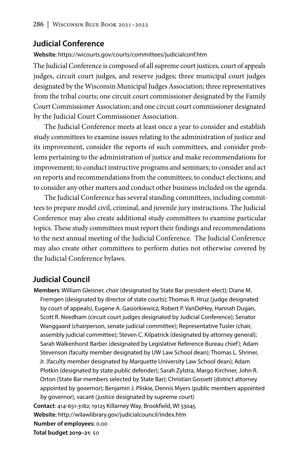## **Judicial Conference**

#### **Website**: https://wicourts.gov/courts/committees/judicialconf.htm

The Judicial Conference is composed of all supreme court justices, court of appeals judges, circuit court judges, and reserve judges; three municipal court judges designated by the Wisconsin Municipal Judges Association; three representatives from the tribal courts; one circuit court commissioner designated by the Family Court Commissioner Association; and one circuit court commissioner designated by the Judicial Court Commissioner Association.

The Judicial Conference meets at least once a year to consider and establish study committees to examine issues relating to the administration of justice and its improvement, consider the reports of such committees, and consider problems pertaining to the administration of justice and make recommendations for improvement; to conduct instructive programs and seminars; to consider and act on reports and recommendations from the committees; to conduct elections; and to consider any other matters and conduct other business included on the agenda.

The Judicial Conference has several standing committees, including committees to prepare model civil, criminal, and juvenile jury instructions. The Judicial Conference may also create additional study committees to examine particular topics. These study committees must report their findings and recommendations to the next annual meeting of the Judicial Conference. The Judicial Conference may also create other committees to perform duties not otherwise covered by the Judicial Conference bylaws.

## **Judicial Council**

**Members**: William Gleisner, *chair* (designated by State Bar president-elect); Diane M. Fremgen (designated by director of state courts); Thomas R. Hruz (judge designated by court of appeals), Eugene A. Gasiorkiewicz, Robert P. VanDeHey, Hannah Dugan, Scott R. Needham (circuit court judges designated by Judicial Conference); Senator Wanggaard (chairperson, senate judicial committee); Representative Tusler (chair, assembly judicial committee); Steven C. Kilpatrick (designated by attorney general); Sarah Walkenhorst Barber (designated by Legislative Reference Bureau chief); Adam Stevenson (faculty member designated by UW Law School dean); Thomas L. Shriner, Jr. (faculty member designated by Marquette University Law School dean); Adam Plotkin (designated by state public defender); Sarah Zylstra, Margo Kirchner, John R. Orton (State Bar members selected by State Bar); Christian Gossett (district attorney appointed by governor); Benjamin J. Pliskie, Dennis Myers (public members appointed by governor), vacant (justice designated by supreme court) **Contact**: 414-651-3182; 19125 Killarney Way, Brookfield, WI 53045 **Website**: http://wilawlibrary.gov/judicialcouncil/index.htm **Number of employees**: 0.00 **Total budget 2019–21**: \$0